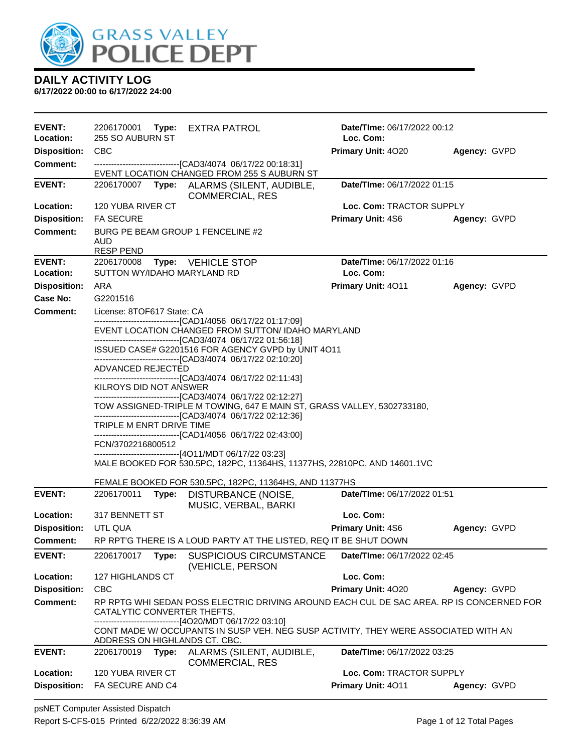

| <b>EVENT:</b>              |                                           | 2206170001 Type: EXTRA PATROL                                                                                                                                                     | Date/TIme: 06/17/2022 00:12              |              |
|----------------------------|-------------------------------------------|-----------------------------------------------------------------------------------------------------------------------------------------------------------------------------------|------------------------------------------|--------------|
| Location:                  | 255 SO AUBURN ST                          |                                                                                                                                                                                   | Loc. Com:                                |              |
| <b>Disposition:</b>        | <b>CBC</b>                                |                                                                                                                                                                                   | Primary Unit: 4020                       | Agency: GVPD |
| <b>Comment:</b>            |                                           | -------------------------------[CAD3/4074 06/17/22 00:18:31]<br>EVENT LOCATION CHANGED FROM 255 S AUBURN ST                                                                       |                                          |              |
| <b>EVENT:</b>              | 2206170007                                | Type: ALARMS (SILENT, AUDIBLE,<br><b>COMMERCIAL, RES</b>                                                                                                                          | Date/TIme: 06/17/2022 01:15              |              |
| Location:                  | 120 YUBA RIVER CT                         |                                                                                                                                                                                   | Loc. Com: TRACTOR SUPPLY                 |              |
| <b>Disposition:</b>        | <b>FA SECURE</b>                          |                                                                                                                                                                                   | <b>Primary Unit: 4S6</b>                 | Agency: GVPD |
| <b>Comment:</b>            | AUD<br><b>RESP PEND</b>                   | BURG PE BEAM GROUP 1 FENCELINE #2                                                                                                                                                 |                                          |              |
| <b>EVENT:</b><br>Location: | 2206170008<br>SUTTON WY/IDAHO MARYLAND RD | Type: VEHICLE STOP                                                                                                                                                                | Date/TIme: 06/17/2022 01:16<br>Loc. Com: |              |
| <b>Disposition:</b>        | ARA                                       |                                                                                                                                                                                   | <b>Primary Unit: 4011</b>                | Agency: GVPD |
| Case No:                   | G2201516                                  |                                                                                                                                                                                   |                                          |              |
| <b>Comment:</b>            | License: 8TOF617 State: CA                |                                                                                                                                                                                   |                                          |              |
|                            |                                           | ------------------------------[CAD1/4056_06/17/22_01:17:09]<br>EVENT LOCATION CHANGED FROM SUTTON/ IDAHO MARYLAND<br>-------------------------------[CAD3/4074_06/17/22 01:56:18] |                                          |              |
|                            |                                           | ISSUED CASE# G2201516 FOR AGENCY GVPD by UNIT 4011                                                                                                                                |                                          |              |
|                            | ADVANCED REJECTED                         | -------------------------------[CAD3/4074 06/17/22 02:10:20]<br>---------------------------------[CAD3/4074 06/17/22 02:11:43]                                                    |                                          |              |
|                            | KILROYS DID NOT ANSWER                    |                                                                                                                                                                                   |                                          |              |
|                            |                                           | ------------------------------[CAD3/4074_06/17/22 02:12:27]                                                                                                                       |                                          |              |
|                            |                                           | TOW ASSIGNED-TRIPLE M TOWING, 647 E MAIN ST, GRASS VALLEY, 5302733180,<br>-------------------------------[CAD3/4074 06/17/22 02:12:36]                                            |                                          |              |
|                            | TRIPLE M ENRT DRIVE TIME                  |                                                                                                                                                                                   |                                          |              |
|                            | FCN/3702216800512                         | ------------------------------[CAD1/4056 06/17/22 02:43:00]                                                                                                                       |                                          |              |
|                            |                                           | -------------------------------[4O11/MDT 06/17/22 03:23]                                                                                                                          |                                          |              |
|                            |                                           | MALE BOOKED FOR 530.5PC, 182PC, 11364HS, 11377HS, 22810PC, AND 14601.1VC                                                                                                          |                                          |              |
|                            |                                           | FEMALE BOOKED FOR 530.5PC, 182PC, 11364HS, AND 11377HS                                                                                                                            |                                          |              |
| <b>EVENT:</b>              | 2206170011                                | Type: DISTURBANCE (NOISE,<br>MUSIC, VERBAL, BARKI                                                                                                                                 | Date/TIme: 06/17/2022 01:51              |              |
| Location:                  | 317 BENNETT ST                            |                                                                                                                                                                                   | Loc. Com:                                |              |
| <b>Disposition:</b>        | UTL QUA                                   |                                                                                                                                                                                   | <b>Primary Unit: 4S6</b>                 | Agency: GVPD |
| Comment:                   |                                           | RP RPT'G THERE IS A LOUD PARTY AT THE LISTED, REQ IT BE SHUT DOWN                                                                                                                 |                                          |              |
| <b>EVENT:</b>              | 2206170017                                | Type: SUSPICIOUS CIRCUMSTANCE<br>(VEHICLE, PERSON                                                                                                                                 | Date/TIme: 06/17/2022 02:45              |              |
| Location:                  | 127 HIGHLANDS CT                          |                                                                                                                                                                                   | Loc. Com:                                |              |
| <b>Disposition:</b>        | <b>CBC</b>                                |                                                                                                                                                                                   | Primary Unit: 4020                       | Agency: GVPD |
| <b>Comment:</b>            | CATALYTIC CONVERTER THEFTS,               | RP RPTG WHI SEDAN POSS ELECTRIC DRIVING AROUND EACH CUL DE SAC AREA. RP IS CONCERNED FOR<br>-------------------------[4O20/MDT 06/17/22 03:10]                                    |                                          |              |
|                            | ADDRESS ON HIGHLANDS CT. CBC.             | CONT MADE W/ OCCUPANTS IN SUSP VEH. NEG SUSP ACTIVITY, THEY WERE ASSOCIATED WITH AN                                                                                               |                                          |              |
| <b>EVENT:</b>              |                                           | 2206170019 Type: ALARMS (SILENT, AUDIBLE,<br><b>COMMERCIAL, RES</b>                                                                                                               | Date/TIme: 06/17/2022 03:25              |              |
| Location:                  | 120 YUBA RIVER CT                         |                                                                                                                                                                                   | Loc. Com: TRACTOR SUPPLY                 |              |
| <b>Disposition:</b>        | FA SECURE AND C4                          |                                                                                                                                                                                   | Primary Unit: 4011                       | Agency: GVPD |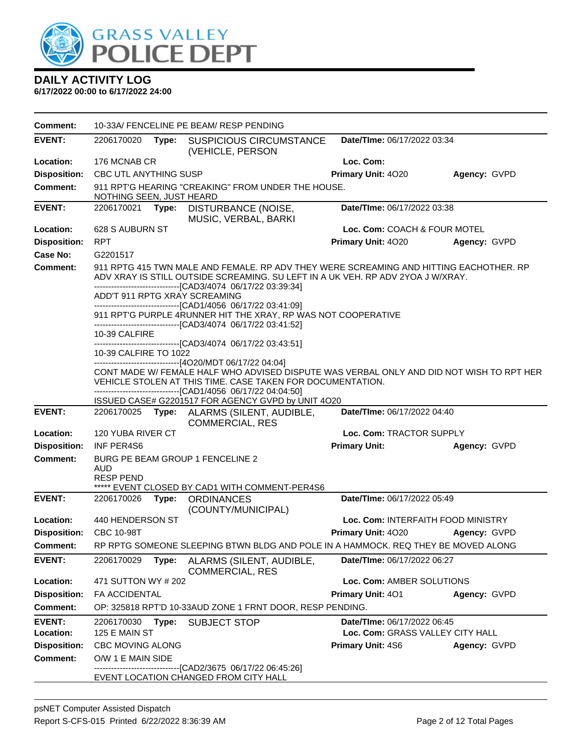

| <b>Comment:</b>     |                                | 10-33A/ FENCELINE PE BEAM/ RESP PENDING |                                                                                                                                                                                                                                           |                                    |                     |  |  |
|---------------------|--------------------------------|-----------------------------------------|-------------------------------------------------------------------------------------------------------------------------------------------------------------------------------------------------------------------------------------------|------------------------------------|---------------------|--|--|
| <b>EVENT:</b>       | 2206170020                     | Type:                                   | <b>SUSPICIOUS CIRCUMSTANCE</b><br>(VEHICLE, PERSON                                                                                                                                                                                        | Date/TIme: 06/17/2022 03:34        |                     |  |  |
| Location:           | 176 MCNAB CR                   |                                         |                                                                                                                                                                                                                                           | Loc. Com:                          |                     |  |  |
| <b>Disposition:</b> | CBC UTL ANYTHING SUSP          |                                         |                                                                                                                                                                                                                                           | Primary Unit: 4020                 | Agency: GVPD        |  |  |
| <b>Comment:</b>     | NOTHING SEEN, JUST HEARD       |                                         | 911 RPT'G HEARING "CREAKING" FROM UNDER THE HOUSE.                                                                                                                                                                                        |                                    |                     |  |  |
| <b>EVENT:</b>       | 2206170021                     |                                         | Type: DISTURBANCE (NOISE,<br>MUSIC, VERBAL, BARKI                                                                                                                                                                                         | Date/TIme: 06/17/2022 03:38        |                     |  |  |
| Location:           | 628 S AUBURN ST                |                                         |                                                                                                                                                                                                                                           | Loc. Com: COACH & FOUR MOTEL       |                     |  |  |
| <b>Disposition:</b> | <b>RPT</b>                     |                                         |                                                                                                                                                                                                                                           | Primary Unit: 4020                 | Agency: GVPD        |  |  |
| Case No:            | G2201517                       |                                         |                                                                                                                                                                                                                                           |                                    |                     |  |  |
| <b>Comment:</b>     |                                |                                         | 911 RPTG 415 TWN MALE AND FEMALE. RP ADV THEY WERE SCREAMING AND HITTING EACHOTHER. RP<br>ADV XRAY IS STILL OUTSIDE SCREAMING. SU LEFT IN A UK VEH. RP ADV 2YOA J W/XRAY.<br>-------------------------------[CAD3/4074 06/17/22 03:39:34] |                                    |                     |  |  |
|                     |                                |                                         | ADD'T 911 RPTG XRAY SCREAMING                                                                                                                                                                                                             |                                    |                     |  |  |
|                     |                                |                                         | -------------------------------[CAD1/4056 06/17/22 03:41:09]<br>911 RPT'G PURPLE 4RUNNER HIT THE XRAY, RP WAS NOT COOPERATIVE<br>------------------------------[CAD3/4074_06/17/22_03:41:52]                                              |                                    |                     |  |  |
|                     | 10-39 CALFIRE                  |                                         |                                                                                                                                                                                                                                           |                                    |                     |  |  |
|                     | 10-39 CALFIRE TO 1022          |                                         | ------------------------------[CAD3/4074_06/17/22 03:43:51]<br>------------------------------[4O20/MDT 06/17/22 04:04]                                                                                                                    |                                    |                     |  |  |
|                     |                                |                                         | CONT MADE W/ FEMALE HALF WHO ADVISED DISPUTE WAS VERBAL ONLY AND DID NOT WISH TO RPT HER<br>VEHICLE STOLEN AT THIS TIME. CASE TAKEN FOR DOCUMENTATION.<br>-------------------------------[CAD1/4056 06/17/22 04:04:50]                    |                                    |                     |  |  |
|                     |                                |                                         | ISSUED CASE# G2201517 FOR AGENCY GVPD by UNIT 4O20                                                                                                                                                                                        |                                    |                     |  |  |
| <b>EVENT:</b>       |                                |                                         | 2206170025 Type: ALARMS (SILENT, AUDIBLE,<br><b>COMMERCIAL, RES</b>                                                                                                                                                                       | Date/TIme: 06/17/2022 04:40        |                     |  |  |
| Location:           | 120 YUBA RIVER CT              |                                         |                                                                                                                                                                                                                                           | Loc. Com: TRACTOR SUPPLY           |                     |  |  |
| <b>Disposition:</b> | INF PER4S6                     |                                         |                                                                                                                                                                                                                                           | <b>Primary Unit:</b>               | Agency: GVPD        |  |  |
| Comment:            | <b>AUD</b><br><b>RESP PEND</b> |                                         | BURG PE BEAM GROUP 1 FENCELINE 2<br>***** EVENT CLOSED BY CAD1 WITH COMMENT-PER4S6                                                                                                                                                        |                                    |                     |  |  |
| <b>EVENT:</b>       | 2206170026                     | Type:                                   | <b>ORDINANCES</b>                                                                                                                                                                                                                         | Date/TIme: 06/17/2022 05:49        |                     |  |  |
|                     |                                |                                         | (COUNTY/MUNICIPAL)                                                                                                                                                                                                                        |                                    |                     |  |  |
| Location:           | 440 HENDERSON ST               |                                         |                                                                                                                                                                                                                                           | Loc. Com: INTERFAITH FOOD MINISTRY |                     |  |  |
| <b>Disposition:</b> | CBC 10-98T                     |                                         |                                                                                                                                                                                                                                           | <b>Primary Unit: 4020</b>          | <b>Agency: GVPD</b> |  |  |
| <b>Comment:</b>     |                                |                                         | RP RPTG SOMEONE SLEEPING BTWN BLDG AND POLE IN A HAMMOCK. REQ THEY BE MOVED ALONG                                                                                                                                                         |                                    |                     |  |  |
| <b>EVENT:</b>       | 2206170029                     | Type:                                   | ALARMS (SILENT, AUDIBLE,<br><b>COMMERCIAL, RES</b>                                                                                                                                                                                        | Date/TIme: 06/17/2022 06:27        |                     |  |  |
| Location:           | 471 SUTTON WY # 202            |                                         |                                                                                                                                                                                                                                           | Loc. Com: AMBER SOLUTIONS          |                     |  |  |
| <b>Disposition:</b> | FA ACCIDENTAL                  |                                         |                                                                                                                                                                                                                                           | <b>Primary Unit: 401</b>           | Agency: GVPD        |  |  |
| <b>Comment:</b>     |                                |                                         | OP: 325818 RPT'D 10-33AUD ZONE 1 FRNT DOOR, RESP PENDING.                                                                                                                                                                                 |                                    |                     |  |  |
| <b>EVENT:</b>       | 2206170030                     | Type:                                   | <b>SUBJECT STOP</b>                                                                                                                                                                                                                       | Date/TIme: 06/17/2022 06:45        |                     |  |  |
| Location:           | 125 E MAIN ST                  |                                         |                                                                                                                                                                                                                                           | Loc. Com: GRASS VALLEY CITY HALL   |                     |  |  |
| <b>Disposition:</b> | CBC MOVING ALONG               |                                         |                                                                                                                                                                                                                                           | <b>Primary Unit: 4S6</b>           | Agency: GVPD        |  |  |
| <b>Comment:</b>     | O/W 1 E MAIN SIDE              |                                         | ------------------------[CAD2/3675_06/17/22_06:45:26]                                                                                                                                                                                     |                                    |                     |  |  |
|                     |                                | EVENT LOCATION CHANGED FROM CITY HALL   |                                                                                                                                                                                                                                           |                                    |                     |  |  |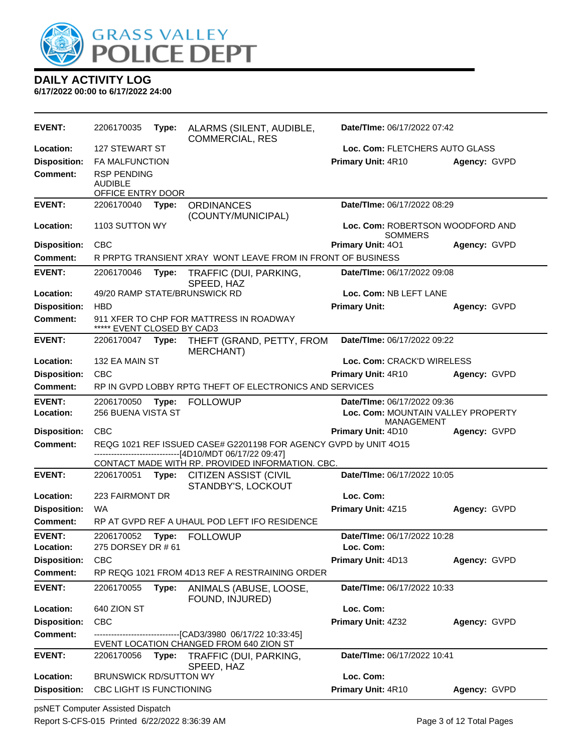

**6/17/2022 00:00 to 6/17/2022 24:00**

| <b>EVENT:</b>       | 2206170035                                                | Type: | ALARMS (SILENT, AUDIBLE,<br><b>COMMERCIAL, RES</b>                                                                  | Date/TIme: 06/17/2022 07:42                             |              |
|---------------------|-----------------------------------------------------------|-------|---------------------------------------------------------------------------------------------------------------------|---------------------------------------------------------|--------------|
| Location:           | <b>127 STEWART ST</b>                                     |       |                                                                                                                     | Loc. Com: FLETCHERS AUTO GLASS                          |              |
| <b>Disposition:</b> | <b>FA MALFUNCTION</b>                                     |       |                                                                                                                     | Primary Unit: 4R10                                      | Agency: GVPD |
| <b>Comment:</b>     | <b>RSP PENDING</b><br><b>AUDIBLE</b><br>OFFICE ENTRY DOOR |       |                                                                                                                     |                                                         |              |
| <b>EVENT:</b>       | 2206170040                                                | Type: | <b>ORDINANCES</b><br>(COUNTY/MUNICIPAL)                                                                             | Date/TIme: 06/17/2022 08:29                             |              |
| Location:           | 1103 SUTTON WY                                            |       |                                                                                                                     | Loc. Com: ROBERTSON WOODFORD AND<br><b>SOMMERS</b>      |              |
| <b>Disposition:</b> | <b>CBC</b>                                                |       |                                                                                                                     | <b>Primary Unit: 401</b>                                | Agency: GVPD |
| <b>Comment:</b>     |                                                           |       | R PRPTG TRANSIENT XRAY WONT LEAVE FROM IN FRONT OF BUSINESS                                                         |                                                         |              |
| <b>EVENT:</b>       | 2206170046                                                | Type: | TRAFFIC (DUI, PARKING,<br>SPEED, HAZ                                                                                | Date/TIme: 06/17/2022 09:08                             |              |
| Location:           |                                                           |       | 49/20 RAMP STATE/BRUNSWICK RD                                                                                       | Loc. Com: NB LEFT LANE                                  |              |
| <b>Disposition:</b> | <b>HBD</b>                                                |       |                                                                                                                     | <b>Primary Unit:</b>                                    | Agency: GVPD |
| <b>Comment:</b>     | ***** EVENT CLOSED BY CAD3                                |       | 911 XFER TO CHP FOR MATTRESS IN ROADWAY                                                                             |                                                         |              |
| <b>EVENT:</b>       | 2206170047                                                | Type: | THEFT (GRAND, PETTY, FROM<br><b>MERCHANT)</b>                                                                       | Date/TIme: 06/17/2022 09:22                             |              |
| Location:           | 132 EA MAIN ST                                            |       |                                                                                                                     | Loc. Com: CRACK'D WIRELESS                              |              |
| <b>Disposition:</b> | <b>CBC</b>                                                |       |                                                                                                                     | Primary Unit: 4R10                                      | Agency: GVPD |
| <b>Comment:</b>     |                                                           |       | RP IN GVPD LOBBY RPTG THEFT OF ELECTRONICS AND SERVICES                                                             |                                                         |              |
| <b>EVENT:</b>       | 2206170050                                                | Type: | <b>FOLLOWUP</b>                                                                                                     | Date/TIme: 06/17/2022 09:36                             |              |
| Location:           | 256 BUENA VISTA ST                                        |       |                                                                                                                     | Loc. Com: MOUNTAIN VALLEY PROPERTY<br><b>MANAGEMENT</b> |              |
| <b>Disposition:</b> | <b>CBC</b>                                                |       |                                                                                                                     | <b>Primary Unit: 4D10</b>                               | Agency: GVPD |
| <b>Comment:</b>     |                                                           |       | REQG 1021 REF ISSUED CASE# G2201198 FOR AGENCY GVPD by UNIT 4O15<br>----------------------[4D10/MDT 06/17/22 09:47] |                                                         |              |
|                     |                                                           |       | CONTACT MADE WITH RP. PROVIDED INFORMATION. CBC.                                                                    |                                                         |              |
| <b>EVENT:</b>       | 2206170051                                                | Type: | <b>CITIZEN ASSIST (CIVIL</b><br>STANDBY'S, LOCKOUT                                                                  | Date/TIme: 06/17/2022 10:05                             |              |
| Location:           | 223 FAIRMONT DR                                           |       |                                                                                                                     | Loc. Com:                                               |              |
| <b>Disposition:</b> | WA                                                        |       |                                                                                                                     | Primary Unit: 4Z15                                      | Agency: GVPD |
| <b>Comment:</b>     |                                                           |       | RP AT GVPD REF A UHAUL POD LEFT IFO RESIDENCE                                                                       |                                                         |              |
| <b>EVENT:</b>       | 2206170052                                                |       | Type: FOLLOWUP                                                                                                      | Date/TIme: 06/17/2022 10:28                             |              |
| Location:           | 275 DORSEY DR # 61                                        |       |                                                                                                                     | Loc. Com:                                               |              |
| <b>Disposition:</b> | CBC                                                       |       |                                                                                                                     | Primary Unit: 4D13                                      | Agency: GVPD |
| <b>Comment:</b>     |                                                           |       | RP REQG 1021 FROM 4D13 REF A RESTRAINING ORDER                                                                      |                                                         |              |
| <b>EVENT:</b>       | 2206170055                                                | Type: | ANIMALS (ABUSE, LOOSE,<br>FOUND, INJURED)                                                                           | Date/TIme: 06/17/2022 10:33                             |              |
| Location:           | 640 ZION ST                                               |       |                                                                                                                     | Loc. Com:                                               |              |
| <b>Disposition:</b> | CBC                                                       |       |                                                                                                                     | Primary Unit: 4Z32                                      | Agency: GVPD |
| <b>Comment:</b>     |                                                           |       | --------------------[CAD3/3980 06/17/22 10:33:45]<br>EVENT LOCATION CHANGED FROM 640 ZION ST                        |                                                         |              |
| <b>EVENT:</b>       | 2206170056                                                | Type: | TRAFFIC (DUI, PARKING,<br>SPEED, HAZ                                                                                | Date/TIme: 06/17/2022 10:41                             |              |
| Location:           | BRUNSWICK RD/SUTTON WY                                    |       |                                                                                                                     | Loc. Com:                                               |              |
| <b>Disposition:</b> | CBC LIGHT IS FUNCTIONING                                  |       |                                                                                                                     | Primary Unit: 4R10                                      | Agency: GVPD |

psNET Computer Assisted Dispatch Report S-CFS-015 Printed 6/22/2022 8:36:39 AM Page 3 of 12 Total Pages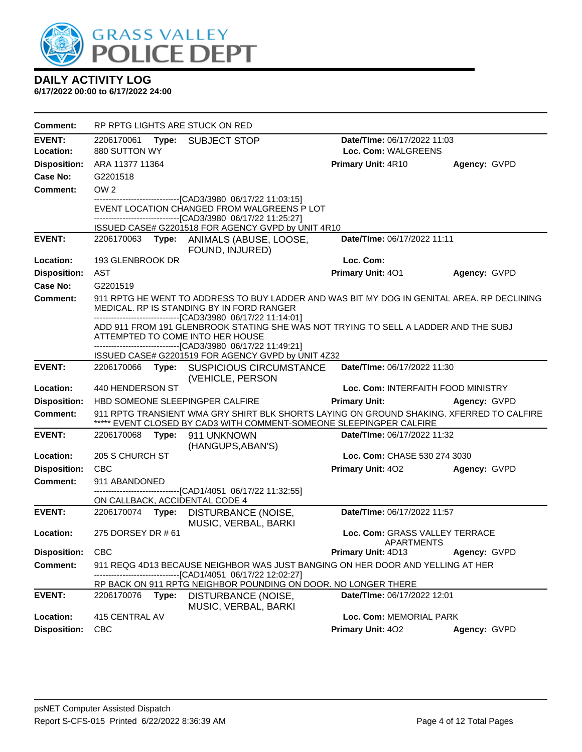

| Comment:                                                                                                                                                                                                                                               |                                                                        | RP RPTG LIGHTS ARE STUCK ON RED                                                                                                                                 |                                              |              |
|--------------------------------------------------------------------------------------------------------------------------------------------------------------------------------------------------------------------------------------------------------|------------------------------------------------------------------------|-----------------------------------------------------------------------------------------------------------------------------------------------------------------|----------------------------------------------|--------------|
| <b>EVENT:</b>                                                                                                                                                                                                                                          | 2206170061 Type:<br>Date/TIme: 06/17/2022 11:03<br><b>SUBJECT STOP</b> |                                                                                                                                                                 |                                              |              |
| Location:                                                                                                                                                                                                                                              | 880 SUTTON WY                                                          |                                                                                                                                                                 | Loc. Com: WALGREENS                          |              |
| <b>Disposition:</b>                                                                                                                                                                                                                                    | ARA 11377 11364                                                        |                                                                                                                                                                 | Primary Unit: 4R10                           | Agency: GVPD |
| Case No:                                                                                                                                                                                                                                               | G2201518                                                               |                                                                                                                                                                 |                                              |              |
| Comment:                                                                                                                                                                                                                                               | OW <sub>2</sub>                                                        |                                                                                                                                                                 |                                              |              |
|                                                                                                                                                                                                                                                        |                                                                        | -------------------------------[CAD3/3980_06/17/22 11:03:15]<br>EVENT LOCATION CHANGED FROM WALGREENS P LOT                                                     |                                              |              |
|                                                                                                                                                                                                                                                        |                                                                        | ---------------------------------[CAD3/3980 06/17/22 11:25:27]                                                                                                  |                                              |              |
|                                                                                                                                                                                                                                                        |                                                                        | ISSUED CASE# G2201518 FOR AGENCY GVPD by UNIT 4R10                                                                                                              |                                              |              |
| <b>EVENT:</b>                                                                                                                                                                                                                                          |                                                                        | 2206170063 Type: ANIMALS (ABUSE, LOOSE,<br>FOUND, INJURED)                                                                                                      | Date/TIme: 06/17/2022 11:11                  |              |
| Location:                                                                                                                                                                                                                                              | 193 GLENBROOK DR                                                       |                                                                                                                                                                 | Loc. Com:                                    |              |
| <b>Disposition:</b>                                                                                                                                                                                                                                    | AST                                                                    |                                                                                                                                                                 | <b>Primary Unit: 401</b>                     | Agency: GVPD |
| Case No:                                                                                                                                                                                                                                               | G2201519                                                               |                                                                                                                                                                 |                                              |              |
| Comment:                                                                                                                                                                                                                                               |                                                                        | 911 RPTG HE WENT TO ADDRESS TO BUY LADDER AND WAS BIT MY DOG IN GENITAL AREA. RP DECLINING<br>MEDICAL. RP IS STANDING BY IN FORD RANGER                         |                                              |              |
| -------------------------------[CAD3/3980 06/17/22 11:14:01]<br>ADD 911 FROM 191 GLENBROOK STATING SHE WAS NOT TRYING TO SELL A LADDER AND THE SUBJ<br>ATTEMPTED TO COME INTO HER HOUSE<br>------------------------------[CAD3/3980 06/17/22 11:49:21] |                                                                        |                                                                                                                                                                 |                                              |              |
|                                                                                                                                                                                                                                                        |                                                                        | ISSUED CASE# G2201519 FOR AGENCY GVPD by UNIT 4Z32                                                                                                              |                                              |              |
| <b>EVENT:</b>                                                                                                                                                                                                                                          |                                                                        | 2206170066 Type: SUSPICIOUS CIRCUMSTANCE<br>(VEHICLE, PERSON                                                                                                    | Date/TIme: 06/17/2022 11:30                  |              |
| Location:                                                                                                                                                                                                                                              | 440 HENDERSON ST                                                       |                                                                                                                                                                 | Loc. Com: INTERFAITH FOOD MINISTRY           |              |
| <b>Disposition:</b>                                                                                                                                                                                                                                    |                                                                        | HBD SOMEONE SLEEPINGPER CALFIRE                                                                                                                                 | <b>Primary Unit:</b>                         | Agency: GVPD |
| <b>Comment:</b>                                                                                                                                                                                                                                        |                                                                        | 911 RPTG TRANSIENT WMA GRY SHIRT BLK SHORTS LAYING ON GROUND SHAKING. XFERRED TO CALFIRE<br>***** EVENT CLOSED BY CAD3 WITH COMMENT-SOMEONE SLEEPINGPER CALFIRE |                                              |              |
| <b>EVENT:</b>                                                                                                                                                                                                                                          | 2206170068                                                             | Type: 911 UNKNOWN<br>(HANGUPS, ABAN'S)                                                                                                                          | Date/TIme: 06/17/2022 11:32                  |              |
| Location:                                                                                                                                                                                                                                              | 205 S CHURCH ST                                                        |                                                                                                                                                                 | Loc. Com: CHASE 530 274 3030                 |              |
| <b>Disposition:</b>                                                                                                                                                                                                                                    | <b>CBC</b>                                                             |                                                                                                                                                                 | <b>Primary Unit: 402</b>                     | Agency: GVPD |
| <b>Comment:</b>                                                                                                                                                                                                                                        | 911 ABANDONED                                                          | --------------------------------[CAD1/4051_06/17/22 11:32:55]                                                                                                   |                                              |              |
| <b>EVENT:</b>                                                                                                                                                                                                                                          |                                                                        | ON CALLBACK, ACCIDENTAL CODE 4                                                                                                                                  | Date/TIme: 06/17/2022 11:57                  |              |
|                                                                                                                                                                                                                                                        |                                                                        | 2206170074 Type: DISTURBANCE (NOISE,<br>MUSIC, VERBAL, BARKI                                                                                                    |                                              |              |
| Location:                                                                                                                                                                                                                                              | 275 DORSEY DR # 61                                                     |                                                                                                                                                                 | Loc. Com: GRASS VALLEY TERRACE<br>APARTMENTS |              |
| <b>Disposition:</b>                                                                                                                                                                                                                                    | <b>CBC</b>                                                             |                                                                                                                                                                 | <b>Primary Unit: 4D13</b>                    | Agency: GVPD |
| <b>Comment:</b>                                                                                                                                                                                                                                        |                                                                        | 911 REQG 4D13 BECAUSE NEIGHBOR WAS JUST BANGING ON HER DOOR AND YELLING AT HER<br>--[CAD1/4051_06/17/22 12:02:27]                                               |                                              |              |
|                                                                                                                                                                                                                                                        |                                                                        | RP BACK ON 911 RPTG NEIGHBOR POUNDING ON DOOR. NO LONGER THERE                                                                                                  |                                              |              |
| <b>EVENT:</b>                                                                                                                                                                                                                                          | 2206170076 Type:                                                       | DISTURBANCE (NOISE,<br>MUSIC, VERBAL, BARKI                                                                                                                     | Date/TIme: 06/17/2022 12:01                  |              |
| Location:                                                                                                                                                                                                                                              | 415 CENTRAL AV                                                         |                                                                                                                                                                 | Loc. Com: MEMORIAL PARK                      |              |
| <b>Disposition:</b>                                                                                                                                                                                                                                    | <b>CBC</b>                                                             |                                                                                                                                                                 | Primary Unit: 402                            | Agency: GVPD |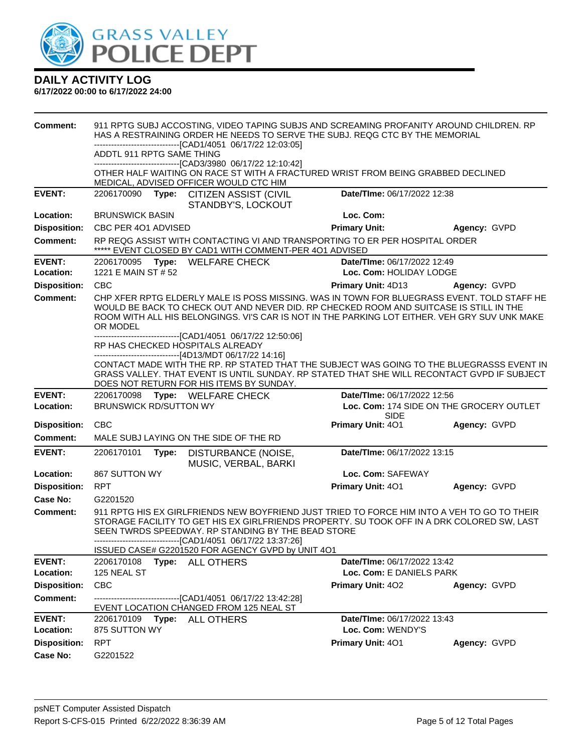

| <b>Comment:</b>                        | ADDTL 911 RPTG SAME THING         |       | 911 RPTG SUBJ ACCOSTING, VIDEO TAPING SUBJS AND SCREAMING PROFANITY AROUND CHILDREN. RP<br>HAS A RESTRAINING ORDER HE NEEDS TO SERVE THE SUBJ. REQG CTC BY THE MEMORIAL<br>--------------------------[CAD1/4051 06/17/22 12:03:05]<br>-------------------------------[CAD3/3980 06/17/22 12:10:42]              |                                                         |                                          |
|----------------------------------------|-----------------------------------|-------|-----------------------------------------------------------------------------------------------------------------------------------------------------------------------------------------------------------------------------------------------------------------------------------------------------------------|---------------------------------------------------------|------------------------------------------|
|                                        |                                   |       | OTHER HALF WAITING ON RACE ST WITH A FRACTURED WRIST FROM BEING GRABBED DECLINED<br>MEDICAL, ADVISED OFFICER WOULD CTC HIM                                                                                                                                                                                      |                                                         |                                          |
| <b>EVENT:</b>                          | 2206170090                        |       | Type: CITIZEN ASSIST (CIVIL<br>STANDBY'S, LOCKOUT                                                                                                                                                                                                                                                               | Date/TIme: 06/17/2022 12:38                             |                                          |
| Location:                              | <b>BRUNSWICK BASIN</b>            |       |                                                                                                                                                                                                                                                                                                                 | Loc. Com:                                               |                                          |
| <b>Disposition:</b>                    | CBC PER 401 ADVISED               |       |                                                                                                                                                                                                                                                                                                                 | <b>Primary Unit:</b>                                    | Agency: GVPD                             |
| <b>Comment:</b>                        |                                   |       | RP REQG ASSIST WITH CONTACTING VI AND TRANSPORTING TO ER PER HOSPITAL ORDER<br>***** EVENT CLOSED BY CAD1 WITH COMMENT-PER 401 ADVISED                                                                                                                                                                          |                                                         |                                          |
| <b>EVENT:</b><br>Location:             | 2206170095<br>1221 E MAIN ST # 52 |       | Type: WELFARE CHECK                                                                                                                                                                                                                                                                                             | Date/TIme: 06/17/2022 12:49<br>Loc. Com: HOLIDAY LODGE  |                                          |
| <b>Disposition:</b>                    | <b>CBC</b>                        |       |                                                                                                                                                                                                                                                                                                                 | Primary Unit: 4D13                                      | Agency: GVPD                             |
| <b>Comment:</b>                        | OR MODEL                          |       | CHP XFER RPTG ELDERLY MALE IS POSS MISSING. WAS IN TOWN FOR BLUEGRASS EVENT. TOLD STAFF HE<br>WOULD BE BACK TO CHECK OUT AND NEVER DID. RP CHECKED ROOM AND SUITCASE IS STILL IN THE<br>ROOM WITH ALL HIS BELONGINGS. VI'S CAR IS NOT IN THE PARKING LOT EITHER. VEH GRY SUV UNK MAKE                           |                                                         |                                          |
|                                        |                                   |       | -------------------------------[CAD1/4051 06/17/22 12:50:06]<br>RP HAS CHECKED HOSPITALS ALREADY<br>------------------------------[4D13/MDT 06/17/22 14:16]                                                                                                                                                     |                                                         |                                          |
|                                        |                                   |       | CONTACT MADE WITH THE RP. RP STATED THAT THE SUBJECT WAS GOING TO THE BLUEGRASSS EVENT IN<br>GRASS VALLEY. THAT EVENT IS UNTIL SUNDAY. RP STATED THAT SHE WILL RECONTACT GVPD IF SUBJECT<br>DOES NOT RETURN FOR HIS ITEMS BY SUNDAY.                                                                            |                                                         |                                          |
|                                        |                                   |       |                                                                                                                                                                                                                                                                                                                 |                                                         |                                          |
| <b>EVENT:</b>                          |                                   |       | 2206170098 Type: WELFARE CHECK                                                                                                                                                                                                                                                                                  | Date/TIme: 06/17/2022 12:56                             |                                          |
| Location:                              | <b>BRUNSWICK RD/SUTTON WY</b>     |       |                                                                                                                                                                                                                                                                                                                 |                                                         | Loc. Com: 174 SIDE ON THE GROCERY OUTLET |
|                                        | <b>CBC</b>                        |       |                                                                                                                                                                                                                                                                                                                 | <b>SIDE</b>                                             |                                          |
| <b>Disposition:</b><br><b>Comment:</b> |                                   |       | MALE SUBJ LAYING ON THE SIDE OF THE RD                                                                                                                                                                                                                                                                          | <b>Primary Unit: 401</b>                                | Agency: GVPD                             |
| <b>EVENT:</b>                          | 2206170101                        | Type: | DISTURBANCE (NOISE,                                                                                                                                                                                                                                                                                             | Date/TIme: 06/17/2022 13:15                             |                                          |
| Location:                              | 867 SUTTON WY                     |       | MUSIC, VERBAL, BARKI                                                                                                                                                                                                                                                                                            | Loc. Com: SAFEWAY                                       |                                          |
| <b>Disposition:</b>                    | <b>RPT</b>                        |       |                                                                                                                                                                                                                                                                                                                 | Primary Unit: 401                                       | Agency: GVPD                             |
| <b>Case No:</b>                        | G2201520                          |       |                                                                                                                                                                                                                                                                                                                 |                                                         |                                          |
| <b>Comment:</b>                        |                                   |       | 911 RPTG HIS EX GIRLFRIENDS NEW BOYFRIEND JUST TRIED TO FORCE HIM INTO A VEH TO GO TO THEIR<br>STORAGE FACILITY TO GET HIS EX GIRLFRIENDS PROPERTY. SU TOOK OFF IN A DRK COLORED SW, LAST<br>SEEN TWRDS SPEEDWAY. RP STANDING BY THE BEAD STORE<br>-------------------------------[CAD1/4051 06/17/22 13:37:26] |                                                         |                                          |
|                                        |                                   |       | ISSUED CASE# G2201520 FOR AGENCY GVPD by UNIT 401                                                                                                                                                                                                                                                               |                                                         |                                          |
| <b>EVENT:</b><br>Location:             | 2206170108<br>125 NEAL ST         |       | Type: ALL OTHERS                                                                                                                                                                                                                                                                                                | Date/TIme: 06/17/2022 13:42<br>Loc. Com: E DANIELS PARK |                                          |
| <b>Disposition:</b>                    | <b>CBC</b>                        |       |                                                                                                                                                                                                                                                                                                                 | Primary Unit: 402                                       | Agency: GVPD                             |
| <b>Comment:</b>                        |                                   |       | -------------------------------[CAD1/4051 06/17/22 13:42:28]<br>EVENT LOCATION CHANGED FROM 125 NEAL ST                                                                                                                                                                                                         |                                                         |                                          |
| <b>EVENT:</b><br>Location:             | 875 SUTTON WY                     |       | 2206170109 Type: ALL OTHERS                                                                                                                                                                                                                                                                                     | Date/TIme: 06/17/2022 13:43<br>Loc. Com: WENDY'S        |                                          |
| <b>Disposition:</b>                    | <b>RPT</b>                        |       |                                                                                                                                                                                                                                                                                                                 | Primary Unit: 401                                       | Agency: GVPD                             |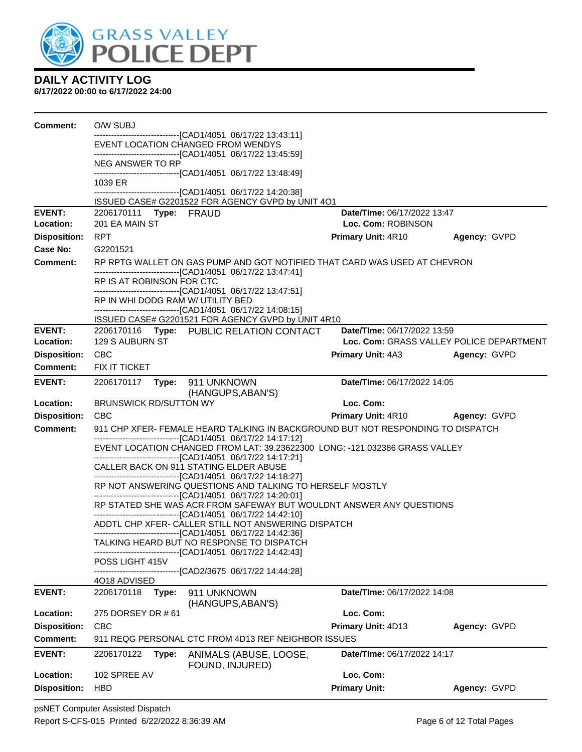

| <b>Comment:</b>                        | O/W SUBJ                                                                                                                                    |                             |                                          |
|----------------------------------------|---------------------------------------------------------------------------------------------------------------------------------------------|-----------------------------|------------------------------------------|
|                                        | -------------------------------[CAD1/4051_06/17/22 13:43:11]<br>EVENT LOCATION CHANGED FROM WENDYS                                          |                             |                                          |
|                                        | -------------------------------[CAD1/4051 06/17/22 13:45:59]                                                                                |                             |                                          |
|                                        | NEG ANSWER TO RP<br>-------------------------------[CAD1/4051 06/17/22 13:48:49]                                                            |                             |                                          |
|                                        | 1039 ER<br>-------------------------------[CAD1/4051 06/17/22 14:20:38]                                                                     |                             |                                          |
|                                        | ISSUED CASE# G2201522 FOR AGENCY GVPD by UNIT 4O1                                                                                           |                             |                                          |
| <b>EVENT:</b>                          | 2206170111 Type: FRAUD                                                                                                                      | Date/TIme: 06/17/2022 13:47 |                                          |
| Location:                              | 201 EA MAIN ST                                                                                                                              | Loc. Com: ROBINSON          |                                          |
| <b>Disposition:</b><br><b>Case No:</b> | <b>RPT</b>                                                                                                                                  | Primary Unit: 4R10          | Agency: GVPD                             |
| Comment:                               | G2201521<br>RP RPTG WALLET ON GAS PUMP AND GOT NOTIFIED THAT CARD WAS USED AT CHEVRON                                                       |                             |                                          |
|                                        | ---------------------------------[CAD1/4051_06/17/22 13:47:41]                                                                              |                             |                                          |
|                                        | RP IS AT ROBINSON FOR CTC<br>-------------------------------[CAD1/4051 06/17/22 13:47:51]                                                   |                             |                                          |
|                                        | RP IN WHI DODG RAM W/ UTILITY BED                                                                                                           |                             |                                          |
|                                        | -------------------------------[CAD1/4051 06/17/22 14:08:15]                                                                                |                             |                                          |
| <b>EVENT:</b>                          | ISSUED CASE# G2201521 FOR AGENCY GVPD by UNIT 4R10<br>2206170116 Type: PUBLIC RELATION CONTACT                                              | Date/TIme: 06/17/2022 13:59 |                                          |
| Location:                              | 129 S AUBURN ST                                                                                                                             |                             | Loc. Com: GRASS VALLEY POLICE DEPARTMENT |
| <b>Disposition:</b>                    | <b>CBC</b>                                                                                                                                  | <b>Primary Unit: 4A3</b>    | Agency: GVPD                             |
| <b>Comment:</b>                        | FIX IT TICKET                                                                                                                               |                             |                                          |
| <b>EVENT:</b>                          | 2206170117<br>Type: 911 UNKNOWN                                                                                                             | Date/TIme: 06/17/2022 14:05 |                                          |
| Location:                              | (HANGUPS, ABAN'S)<br><b>BRUNSWICK RD/SUTTON WY</b>                                                                                          | Loc. Com:                   |                                          |
| <b>Disposition:</b>                    | <b>CBC</b>                                                                                                                                  | <b>Primary Unit: 4R10</b>   | Agency: GVPD                             |
| <b>Comment:</b>                        | 911 CHP XFER- FEMALE HEARD TALKING IN BACKGROUND BUT NOT RESPONDING TO DISPATCH                                                             |                             |                                          |
|                                        | ------------------------------[CAD1/4051 06/17/22 14:17:12]                                                                                 |                             |                                          |
|                                        | EVENT LOCATION CHANGED FROM LAT: 39.23622300 LONG: -121.032386 GRASS VALLEY<br>-------------------------------[CAD1/4051 06/17/22 14:17:21] |                             |                                          |
|                                        | CALLER BACK ON 911 STATING ELDER ABUSE                                                                                                      |                             |                                          |
|                                        | --------------------------------[CAD1/4051_06/17/22 14:18:27]<br>RP NOT ANSWERING QUESTIONS AND TALKING TO HERSELF MOSTLY                   |                             |                                          |
|                                        | -------------------------------[CAD1/4051 06/17/22 14:20:01]                                                                                |                             |                                          |
|                                        | RP STATED SHE WAS ACR FROM SAFEWAY BUT WOULDNT ANSWER ANY QUESTIONS<br>-------------------------------[CAD1/4051 06/17/22 14:42:10]         |                             |                                          |
|                                        | ADDTL CHP XFER- CALLER STILL NOT ANSWERING DISPATCH                                                                                         |                             |                                          |
|                                        | -------------------------------[CAD1/4051 06/17/22 14:42:36]<br>TALKING HEARD BUT NO RESPONSE TO DISPATCH                                   |                             |                                          |
|                                        | -------------------------------[CAD1/4051_06/17/22 14:42:43]                                                                                |                             |                                          |
|                                        | POSS LIGHT 415V                                                                                                                             |                             |                                          |
|                                        | -------------------------[CAD2/3675_06/17/22_14:44:28]<br>4O18 ADVISED                                                                      |                             |                                          |
| <b>EVENT:</b>                          | 2206170118<br>911 UNKNOWN<br>Type:                                                                                                          | Date/TIme: 06/17/2022 14:08 |                                          |
|                                        | (HANGUPS, ABAN'S)                                                                                                                           |                             |                                          |
| Location:                              | 275 DORSEY DR # 61                                                                                                                          | Loc. Com:                   |                                          |
| <b>Disposition:</b><br><b>Comment:</b> | CBC                                                                                                                                         | Primary Unit: 4D13          | Agency: GVPD                             |
|                                        | 911 REQG PERSONAL CTC FROM 4D13 REF NEIGHBOR ISSUES                                                                                         |                             |                                          |
| <b>EVENT:</b>                          | 2206170122<br>Type:<br>ANIMALS (ABUSE, LOOSE,<br>FOUND, INJURED)                                                                            | Date/TIme: 06/17/2022 14:17 |                                          |
| Location:                              | 102 SPREE AV                                                                                                                                | Loc. Com:                   |                                          |
| <b>Disposition:</b>                    | <b>HBD</b>                                                                                                                                  | <b>Primary Unit:</b>        | Agency: GVPD                             |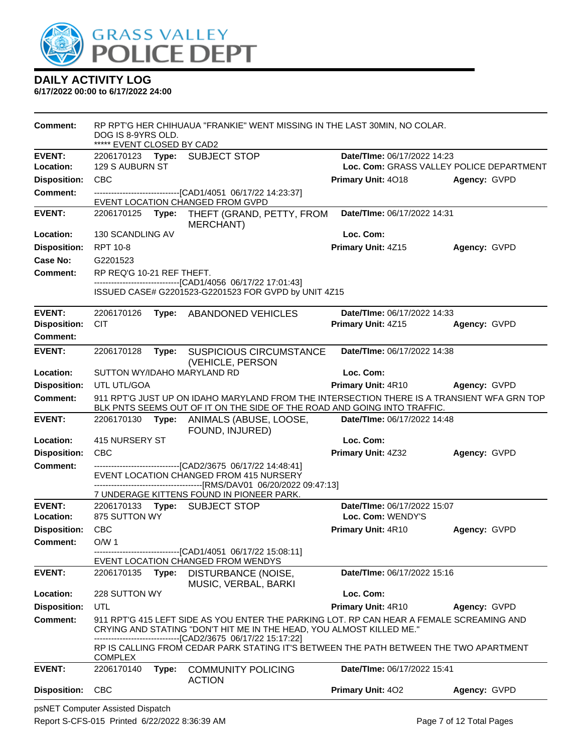

| <b>Comment:</b>     | DOG IS 8-9YRS OLD.<br>***** EVENT CLOSED BY CAD2                                                            |       | RP RPT'G HER CHIHUAUA "FRANKIE" WENT MISSING IN THE LAST 30MIN, NO COLAR.                                                                                              |                                          |              |  |
|---------------------|-------------------------------------------------------------------------------------------------------------|-------|------------------------------------------------------------------------------------------------------------------------------------------------------------------------|------------------------------------------|--------------|--|
| <b>EVENT:</b>       |                                                                                                             |       | 2206170123 Type: SUBJECT STOP                                                                                                                                          | Date/TIme: 06/17/2022 14:23              |              |  |
| Location:           | 129 S AUBURN ST                                                                                             |       |                                                                                                                                                                        | Loc. Com: GRASS VALLEY POLICE DEPARTMENT |              |  |
| <b>Disposition:</b> | <b>CBC</b>                                                                                                  |       |                                                                                                                                                                        | Primary Unit: 4018                       | Agency: GVPD |  |
| <b>Comment:</b>     |                                                                                                             |       | -------------------------------[CAD1/4051_06/17/22 14:23:37]<br>EVENT LOCATION CHANGED FROM GVPD                                                                       |                                          |              |  |
| <b>EVENT:</b>       | 2206170125                                                                                                  |       | Type: THEFT (GRAND, PETTY, FROM                                                                                                                                        | Date/TIme: 06/17/2022 14:31              |              |  |
| Location:           | 130 SCANDLING AV                                                                                            |       | <b>MERCHANT)</b>                                                                                                                                                       | Loc. Com:                                |              |  |
|                     | RPT 10-8                                                                                                    |       |                                                                                                                                                                        | Primary Unit: 4Z15                       | Agency: GVPD |  |
| <b>Disposition:</b> |                                                                                                             |       |                                                                                                                                                                        |                                          |              |  |
| Case No:            | G2201523                                                                                                    |       |                                                                                                                                                                        |                                          |              |  |
| Comment:            | RP REQ'G 10-21 REF THEFT.                                                                                   |       | -------------------------------[CAD1/4056 06/17/22 17:01:43]                                                                                                           |                                          |              |  |
|                     |                                                                                                             |       | ISSUED CASE# G2201523-G2201523 FOR GVPD by UNIT 4Z15                                                                                                                   |                                          |              |  |
| <b>EVENT:</b>       | 2206170126                                                                                                  | Type: | <b>ABANDONED VEHICLES</b>                                                                                                                                              | Date/TIme: 06/17/2022 14:33              |              |  |
| <b>Disposition:</b> | <b>CIT</b>                                                                                                  |       |                                                                                                                                                                        | Primary Unit: 4Z15                       | Agency: GVPD |  |
| <b>Comment:</b>     |                                                                                                             |       |                                                                                                                                                                        |                                          |              |  |
| <b>EVENT:</b>       | 2206170128                                                                                                  | Type: | <b>SUSPICIOUS CIRCUMSTANCE</b><br>(VEHICLE, PERSON                                                                                                                     | Date/TIme: 06/17/2022 14:38              |              |  |
| Location:           | SUTTON WY/IDAHO MARYLAND RD                                                                                 |       |                                                                                                                                                                        | Loc. Com:                                |              |  |
| <b>Disposition:</b> | UTL UTL/GOA                                                                                                 |       |                                                                                                                                                                        | Primary Unit: 4R10                       | Agency: GVPD |  |
| <b>Comment:</b>     |                                                                                                             |       | 911 RPT'G JUST UP ON IDAHO MARYLAND FROM THE INTERSECTION THERE IS A TRANSIENT WFA GRN TOP<br>BLK PNTS SEEMS OUT OF IT ON THE SIDE OF THE ROAD AND GOING INTO TRAFFIC. |                                          |              |  |
| <b>EVENT:</b>       |                                                                                                             |       | 2206170130 Type: ANIMALS (ABUSE, LOOSE,<br>FOUND, INJURED)                                                                                                             | Date/TIme: 06/17/2022 14:48              |              |  |
| Location:           | 415 NURSERY ST                                                                                              |       |                                                                                                                                                                        | Loc. Com:                                |              |  |
| <b>Disposition:</b> | <b>CBC</b>                                                                                                  |       |                                                                                                                                                                        | Primary Unit: 4Z32                       | Agency: GVPD |  |
| <b>Comment:</b>     |                                                                                                             |       | -----------------------[CAD2/3675_06/17/22 14:48:41]                                                                                                                   |                                          |              |  |
|                     | EVENT LOCATION CHANGED FROM 415 NURSERY                                                                     |       |                                                                                                                                                                        |                                          |              |  |
|                     | -------------------------------[RMS/DAV01_06/20/2022 09:47:13]<br>7 UNDERAGE KITTENS FOUND IN PIONEER PARK. |       |                                                                                                                                                                        |                                          |              |  |
| <b>EVENT:</b>       |                                                                                                             |       | 2206170133 Type: SUBJECT STOP                                                                                                                                          | Date/TIme: 06/17/2022 15:07              |              |  |
| Location:           | 875 SUTTON WY                                                                                               |       |                                                                                                                                                                        | Loc. Com: WENDY'S                        |              |  |
| <b>Disposition:</b> | <b>CBC</b>                                                                                                  |       |                                                                                                                                                                        | Primary Unit: 4R10                       | Agency: GVPD |  |
| <b>Comment:</b>     | O/W <sub>1</sub>                                                                                            |       |                                                                                                                                                                        |                                          |              |  |
|                     |                                                                                                             |       | ---------------------[CAD1/4051_06/17/22 15:08:11]<br>EVENT LOCATION CHANGED FROM WENDYS                                                                               |                                          |              |  |
| <b>EVENT:</b>       | 2206170135                                                                                                  | Type: | DISTURBANCE (NOISE,<br>MUSIC, VERBAL, BARKI                                                                                                                            | Date/TIme: 06/17/2022 15:16              |              |  |
| Location:           | 228 SUTTON WY                                                                                               |       |                                                                                                                                                                        | Loc. Com:                                |              |  |
| <b>Disposition:</b> | UTL                                                                                                         |       |                                                                                                                                                                        | Primary Unit: 4R10                       | Agency: GVPD |  |
| <b>Comment:</b>     |                                                                                                             |       | 911 RPT'G 415 LEFT SIDE AS YOU ENTER THE PARKING LOT. RP CAN HEAR A FEMALE SCREAMING AND                                                                               |                                          |              |  |
|                     |                                                                                                             |       | CRYING AND STATING "DON'T HIT ME IN THE HEAD, YOU ALMOST KILLED ME."<br>-------------------------[CAD2/3675 06/17/22 15:17:22]                                         |                                          |              |  |
|                     | <b>COMPLEX</b>                                                                                              |       | RP IS CALLING FROM CEDAR PARK STATING IT'S BETWEEN THE PATH BETWEEN THE TWO APARTMENT                                                                                  |                                          |              |  |
| <b>EVENT:</b>       | 2206170140                                                                                                  | Type: | <b>COMMUNITY POLICING</b><br><b>ACTION</b>                                                                                                                             | Date/TIme: 06/17/2022 15:41              |              |  |
| <b>Disposition:</b> | <b>CBC</b>                                                                                                  |       |                                                                                                                                                                        | Primary Unit: 402                        | Agency: GVPD |  |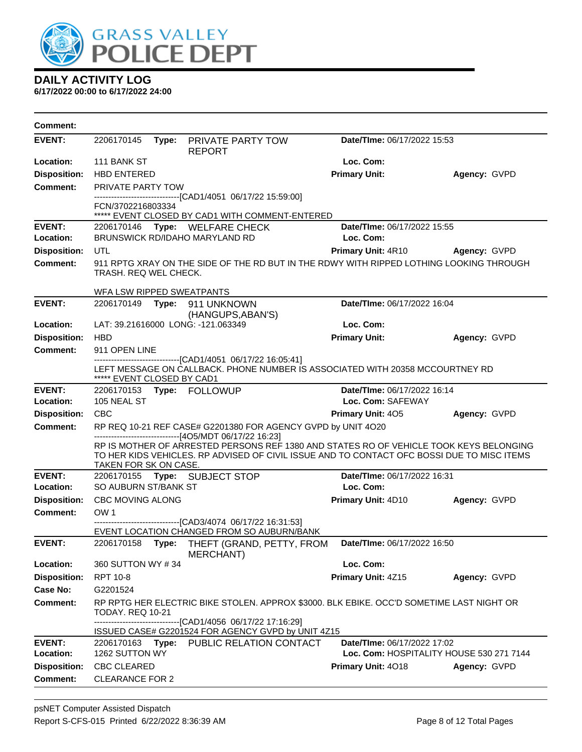

| Comment:            |                            |                                                                                                                                                                                      |                                 |                                          |
|---------------------|----------------------------|--------------------------------------------------------------------------------------------------------------------------------------------------------------------------------------|---------------------------------|------------------------------------------|
| <b>EVENT:</b>       | 2206170145                 | Type: PRIVATE PARTY TOW<br><b>REPORT</b>                                                                                                                                             | Date/TIme: 06/17/2022 15:53     |                                          |
| Location:           | 111 BANK ST                |                                                                                                                                                                                      | Loc. Com:                       |                                          |
| <b>Disposition:</b> | <b>HBD ENTERED</b>         |                                                                                                                                                                                      | <b>Primary Unit:</b>            | Agency: GVPD                             |
| Comment:            | <b>PRIVATE PARTY TOW</b>   |                                                                                                                                                                                      |                                 |                                          |
|                     | FCN/3702216803334          | -------------------------------[CAD1/4051 06/17/22 15:59:00]                                                                                                                         |                                 |                                          |
|                     |                            | ***** EVENT CLOSED BY CAD1 WITH COMMENT-ENTERED                                                                                                                                      |                                 |                                          |
| <b>EVENT:</b>       |                            | 2206170146 Type: WELFARE CHECK                                                                                                                                                       | Date/TIme: 06/17/2022 15:55     |                                          |
| Location:           |                            | BRUNSWICK RD/IDAHO MARYLAND RD                                                                                                                                                       | Loc. Com:                       |                                          |
| <b>Disposition:</b> | UTL                        |                                                                                                                                                                                      | Primary Unit: 4R10 Agency: GVPD |                                          |
| <b>Comment:</b>     | TRASH. REQ WEL CHECK.      | 911 RPTG XRAY ON THE SIDE OF THE RD BUT IN THE RDWY WITH RIPPED LOTHING LOOKING THROUGH                                                                                              |                                 |                                          |
|                     | WFA LSW RIPPED SWEATPANTS  |                                                                                                                                                                                      |                                 |                                          |
| <b>EVENT:</b>       |                            | 2206170149    Type: 911    UNKNOWN<br>(HANGUPS, ABAN'S)                                                                                                                              | Date/TIme: 06/17/2022 16:04     |                                          |
| Location:           |                            | LAT: 39.21616000 LONG: -121.063349                                                                                                                                                   | Loc. Com:                       |                                          |
| <b>Disposition:</b> | <b>HBD</b>                 |                                                                                                                                                                                      | <b>Primary Unit:</b>            | Agency: GVPD                             |
| <b>Comment:</b>     | 911 OPEN LINE              |                                                                                                                                                                                      |                                 |                                          |
|                     | ***** EVENT CLOSED BY CAD1 | --------------------------[CAD1/4051 06/17/22 16:05:41]<br>LEFT MESSAGE ON CALLBACK, PHONE NUMBER IS ASSOCIATED WITH 20358 MCCOURTNEY RD                                             |                                 |                                          |
| <b>EVENT:</b>       |                            | 2206170153 Type: FOLLOWUP                                                                                                                                                            | Date/TIme: 06/17/2022 16:14     |                                          |
| Location:           | 105 NEAL ST                |                                                                                                                                                                                      | Loc. Com: SAFEWAY               |                                          |
| <b>Disposition:</b> | <b>CBC</b>                 |                                                                                                                                                                                      | <b>Primary Unit: 405</b>        | Agency: GVPD                             |
| <b>Comment:</b>     |                            | RP REQ 10-21 REF CASE# G2201380 FOR AGENCY GVPD by UNIT 4O20<br>------------------------------[4O5/MDT 06/17/22 16:23]                                                               |                                 |                                          |
|                     | TAKEN FOR SK ON CASE.      | RP IS MOTHER OF ARRESTED PERSONS REF 1380 AND STATES RO OF VEHICLE TOOK KEYS BELONGING<br>TO HER KIDS VEHICLES. RP ADVISED OF CIVIL ISSUE AND TO CONTACT OFC BOSSI DUE TO MISC ITEMS |                                 |                                          |
| <b>EVENT:</b>       |                            | 2206170155 Type: SUBJECT STOP                                                                                                                                                        | Date/TIme: 06/17/2022 16:31     |                                          |
| Location:           | SO AUBURN ST/BANK ST       |                                                                                                                                                                                      | Loc. Com:                       |                                          |
| <b>Disposition:</b> | <b>CBC MOVING ALONG</b>    |                                                                                                                                                                                      | Primary Unit: 4D10              | Agency: GVPD                             |
| <b>Comment:</b>     | OW <sub>1</sub>            | ---------------------------------[CAD3/4074_06/17/22 16:31:53]                                                                                                                       |                                 |                                          |
|                     |                            | EVENT LOCATION CHANGED FROM SO AUBURN/BANK                                                                                                                                           |                                 |                                          |
| <b>EVENT:</b>       |                            | 2206170158 Type: THEFT (GRAND, PETTY, FROM<br><b>MERCHANT)</b>                                                                                                                       | Date/TIme: 06/17/2022 16:50     |                                          |
| Location:           | 360 SUTTON WY #34          |                                                                                                                                                                                      | Loc. Com:                       |                                          |
| <b>Disposition:</b> | RPT 10-8                   |                                                                                                                                                                                      | Primary Unit: 4Z15              | Agency: GVPD                             |
| Case No:            | G2201524                   |                                                                                                                                                                                      |                                 |                                          |
| <b>Comment:</b>     | TODAY. REQ 10-21           | RP RPTG HER ELECTRIC BIKE STOLEN. APPROX \$3000. BLK EBIKE. OCC'D SOMETIME LAST NIGHT OR<br>-------------------------------[CAD1/4056 06/17/22 17:16:29]                             |                                 |                                          |
|                     |                            | ISSUED CASE# G2201524 FOR AGENCY GVPD by UNIT 4Z15                                                                                                                                   |                                 |                                          |
| <b>EVENT:</b>       |                            | 2206170163 Type: PUBLIC RELATION CONTACT                                                                                                                                             | Date/TIme: 06/17/2022 17:02     |                                          |
| Location:           | 1262 SUTTON WY             |                                                                                                                                                                                      |                                 | Loc. Com: HOSPITALITY HOUSE 530 271 7144 |
| <b>Disposition:</b> | <b>CBC CLEARED</b>         |                                                                                                                                                                                      | Primary Unit: 4018              | Agency: GVPD                             |
| <b>Comment:</b>     | <b>CLEARANCE FOR 2</b>     |                                                                                                                                                                                      |                                 |                                          |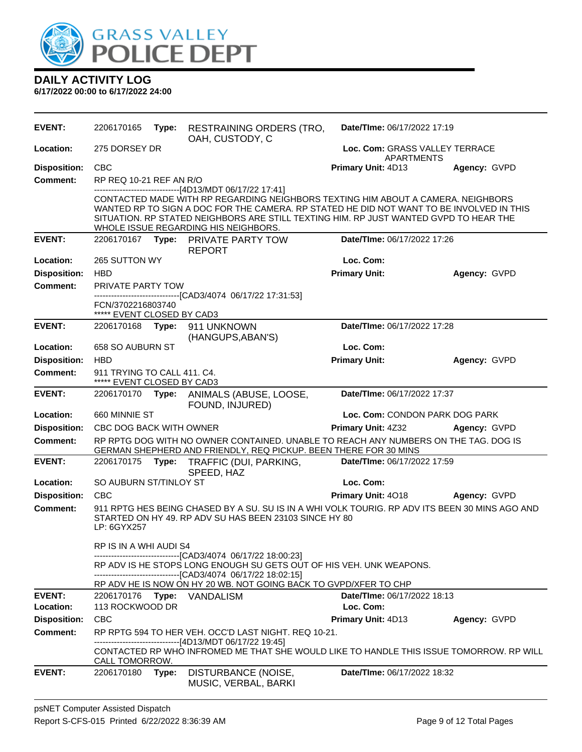

**DAILY ACTIVITY LOG 6/17/2022 00:00 to 6/17/2022 24:00**

| <b>EVENT:</b>       | 2206170165                                                | Type: | <b>RESTRAINING ORDERS (TRO,</b><br>OAH, CUSTODY, C                                                                                                                                                                                                                                                                                                                       | Date/TIme: 06/17/2022 17:19                  |              |  |
|---------------------|-----------------------------------------------------------|-------|--------------------------------------------------------------------------------------------------------------------------------------------------------------------------------------------------------------------------------------------------------------------------------------------------------------------------------------------------------------------------|----------------------------------------------|--------------|--|
| Location:           | 275 DORSEY DR                                             |       |                                                                                                                                                                                                                                                                                                                                                                          | Loc. Com: GRASS VALLEY TERRACE<br>APARTMENTS |              |  |
| <b>Disposition:</b> | <b>CBC</b>                                                |       |                                                                                                                                                                                                                                                                                                                                                                          | Primary Unit: 4D13                           | Agency: GVPD |  |
| <b>Comment:</b>     | RP REQ 10-21 REF AN R/O                                   |       |                                                                                                                                                                                                                                                                                                                                                                          |                                              |              |  |
|                     |                                                           |       | ------------------------------[4D13/MDT 06/17/22 17:41]<br>CONTACTED MADE WITH RP REGARDING NEIGHBORS TEXTING HIM ABOUT A CAMERA. NEIGHBORS<br>WANTED RP TO SIGN A DOC FOR THE CAMERA. RP STATED HE DID NOT WANT TO BE INVOLVED IN THIS<br>SITUATION. RP STATED NEIGHBORS ARE STILL TEXTING HIM. RP JUST WANTED GVPD TO HEAR THE<br>WHOLE ISSUE REGARDING HIS NEIGHBORS. |                                              |              |  |
| <b>EVENT:</b>       |                                                           |       | 2206170167 Type: PRIVATE PARTY TOW<br><b>REPORT</b>                                                                                                                                                                                                                                                                                                                      | Date/TIme: 06/17/2022 17:26                  |              |  |
| Location:           | 265 SUTTON WY                                             |       |                                                                                                                                                                                                                                                                                                                                                                          | Loc. Com:                                    |              |  |
| <b>Disposition:</b> | <b>HBD</b>                                                |       |                                                                                                                                                                                                                                                                                                                                                                          | <b>Primary Unit:</b>                         | Agency: GVPD |  |
| <b>Comment:</b>     | PRIVATE PARTY TOW                                         |       |                                                                                                                                                                                                                                                                                                                                                                          |                                              |              |  |
|                     | FCN/3702216803740<br>***** EVENT CLOSED BY CAD3           |       | -------------------------------[CAD3/4074_06/17/22_17:31:53]                                                                                                                                                                                                                                                                                                             |                                              |              |  |
| <b>EVENT:</b>       | 2206170168 Type:                                          |       | 911 UNKNOWN<br>(HANGUPS, ABAN'S)                                                                                                                                                                                                                                                                                                                                         | Date/TIme: 06/17/2022 17:28                  |              |  |
| Location:           | 658 SO AUBURN ST                                          |       |                                                                                                                                                                                                                                                                                                                                                                          | Loc. Com:                                    |              |  |
| <b>Disposition:</b> | <b>HBD</b>                                                |       |                                                                                                                                                                                                                                                                                                                                                                          | <b>Primary Unit:</b>                         | Agency: GVPD |  |
| Comment:            | 911 TRYING TO CALL 411. C4.<br>***** EVENT CLOSED BY CAD3 |       |                                                                                                                                                                                                                                                                                                                                                                          |                                              |              |  |
| <b>EVENT:</b>       |                                                           |       | 2206170170 Type: ANIMALS (ABUSE, LOOSE,<br>FOUND, INJURED)                                                                                                                                                                                                                                                                                                               | Date/TIme: 06/17/2022 17:37                  |              |  |
| Location:           | 660 MINNIE ST                                             |       |                                                                                                                                                                                                                                                                                                                                                                          | Loc. Com: CONDON PARK DOG PARK               |              |  |
| <b>Disposition:</b> | CBC DOG BACK WITH OWNER                                   |       |                                                                                                                                                                                                                                                                                                                                                                          | <b>Primary Unit: 4Z32</b>                    | Agency: GVPD |  |
| <b>Comment:</b>     |                                                           |       | RP RPTG DOG WITH NO OWNER CONTAINED. UNABLE TO REACH ANY NUMBERS ON THE TAG. DOG IS<br>GERMAN SHEPHERD AND FRIENDLY, REQ PICKUP. BEEN THERE FOR 30 MINS                                                                                                                                                                                                                  |                                              |              |  |
| <b>EVENT:</b>       |                                                           |       | 2206170175 Type: TRAFFIC (DUI, PARKING,<br>SPEED, HAZ                                                                                                                                                                                                                                                                                                                    | Date/TIme: 06/17/2022 17:59                  |              |  |
| Location:           | SO AUBURN ST/TINLOY ST                                    |       |                                                                                                                                                                                                                                                                                                                                                                          | Loc. Com:                                    |              |  |
| <b>Disposition:</b> | <b>CBC</b>                                                |       |                                                                                                                                                                                                                                                                                                                                                                          | Primary Unit: 4018                           | Agency: GVPD |  |
| <b>Comment:</b>     | LP: 6GYX257                                               |       | 911 RPTG HES BEING CHASED BY A SU. SU IS IN A WHI VOLK TOURIG. RP ADV ITS BEEN 30 MINS AGO AND<br>STARTED ON HY 49. RP ADV SU HAS BEEN 23103 SINCE HY 80                                                                                                                                                                                                                 |                                              |              |  |
|                     | RP IS IN A WHI AUDI S4                                    |       | ------------------------------[CAD3/4074_06/17/22 18:00:23]                                                                                                                                                                                                                                                                                                              |                                              |              |  |
|                     |                                                           |       | RP ADV IS HE STOPS LONG ENOUGH SU GETS OUT OF HIS VEH. UNK WEAPONS.<br>-------------------------------[CAD3/4074 06/17/22 18:02:15]                                                                                                                                                                                                                                      |                                              |              |  |
|                     |                                                           |       | RP ADV HE IS NOW ON HY 20 WB. NOT GOING BACK TO GVPD/XFER TO CHP                                                                                                                                                                                                                                                                                                         |                                              |              |  |
| <b>EVENT:</b>       |                                                           |       | 2206170176 <b>Type:</b> VANDALISM                                                                                                                                                                                                                                                                                                                                        | <b>Date/Time: 06/17/2022 18:13</b>           |              |  |
| Location:           | 113 ROCKWOOD DR                                           |       |                                                                                                                                                                                                                                                                                                                                                                          | Loc. Com:                                    |              |  |
| <b>Disposition:</b> | <b>CBC</b>                                                |       |                                                                                                                                                                                                                                                                                                                                                                          | Primary Unit: 4D13                           | Agency: GVPD |  |
| <b>Comment:</b>     |                                                           |       | RP RPTG 594 TO HER VEH. OCC'D LAST NIGHT. REQ 10-21.<br>-------------------------[4D13/MDT 06/17/22 19:45]                                                                                                                                                                                                                                                               |                                              |              |  |
|                     | CALL TOMORROW.                                            |       | CONTACTED RP WHO INFROMED ME THAT SHE WOULD LIKE TO HANDLE THIS ISSUE TOMORROW. RP WILL                                                                                                                                                                                                                                                                                  |                                              |              |  |
| <b>EVENT:</b>       | 2206170180                                                | Type: | DISTURBANCE (NOISE,<br>MUSIC, VERBAL, BARKI                                                                                                                                                                                                                                                                                                                              | <b>Date/Time: 06/17/2022 18:32</b>           |              |  |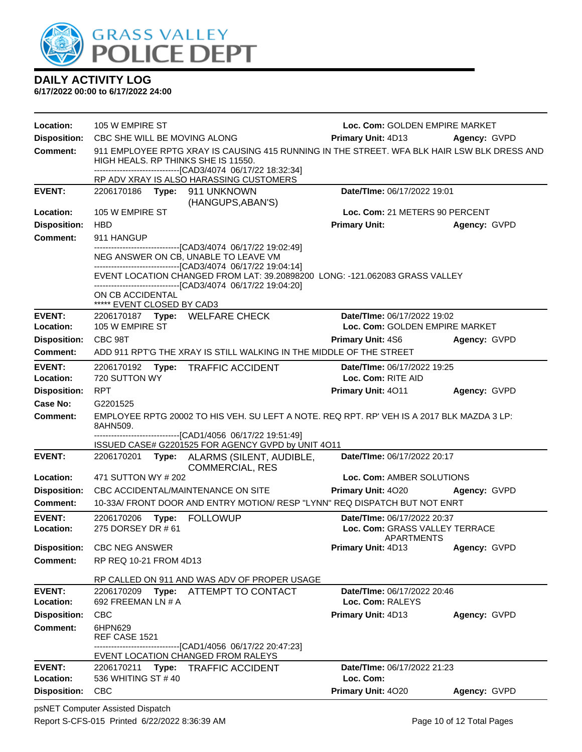

| Location:                        | 105 W EMPIRE ST                                                                                                                                                                                    |                                                                                                                                                                                                                                                                                                         | Loc. Com: GOLDEN EMPIRE MARKET                                |              |  |  |
|----------------------------------|----------------------------------------------------------------------------------------------------------------------------------------------------------------------------------------------------|---------------------------------------------------------------------------------------------------------------------------------------------------------------------------------------------------------------------------------------------------------------------------------------------------------|---------------------------------------------------------------|--------------|--|--|
| <b>Disposition:</b>              | CBC SHE WILL BE MOVING ALONG                                                                                                                                                                       |                                                                                                                                                                                                                                                                                                         | Primary Unit: 4D13<br>Agency: GVPD                            |              |  |  |
| <b>Comment:</b>                  | 911 EMPLOYEE RPTG XRAY IS CAUSING 415 RUNNING IN THE STREET. WFA BLK HAIR LSW BLK DRESS AND<br>HIGH HEALS. RP THINKS SHE IS 11550.<br>-------------------------------[CAD3/4074 06/17/22 18:32:34] |                                                                                                                                                                                                                                                                                                         |                                                               |              |  |  |
|                                  |                                                                                                                                                                                                    | RP ADV XRAY IS ALSO HARASSING CUSTOMERS                                                                                                                                                                                                                                                                 |                                                               |              |  |  |
| <b>EVENT:</b>                    | 2206170186 Type: 911 UNKNOWN                                                                                                                                                                       | (HANGUPS, ABAN'S)                                                                                                                                                                                                                                                                                       | Date/TIme: 06/17/2022 19:01                                   |              |  |  |
| Location:                        | 105 W EMPIRE ST                                                                                                                                                                                    |                                                                                                                                                                                                                                                                                                         | Loc. Com: 21 METERS 90 PERCENT                                |              |  |  |
| <b>Disposition:</b>              | <b>HBD</b>                                                                                                                                                                                         |                                                                                                                                                                                                                                                                                                         | <b>Primary Unit:</b>                                          | Agency: GVPD |  |  |
| <b>Comment:</b>                  | 911 HANGUP                                                                                                                                                                                         |                                                                                                                                                                                                                                                                                                         |                                                               |              |  |  |
|                                  | ON CB ACCIDENTAL                                                                                                                                                                                   | --------------------[CAD3/4074_06/17/22 19:02:49]<br>NEG ANSWER ON CB, UNABLE TO LEAVE VM<br>-------------------------------[CAD3/4074_06/17/22 19:04:14]<br>EVENT LOCATION CHANGED FROM LAT: 39.20898200 LONG: -121.062083 GRASS VALLEY<br>------------------------------[CAD3/4074 06/17/22 19:04:20] |                                                               |              |  |  |
|                                  | ***** EVENT CLOSED BY CAD3                                                                                                                                                                         |                                                                                                                                                                                                                                                                                                         |                                                               |              |  |  |
| <b>EVENT:</b>                    | 105 W EMPIRE ST                                                                                                                                                                                    | 2206170187 Type: WELFARE CHECK                                                                                                                                                                                                                                                                          | Date/TIme: 06/17/2022 19:02<br>Loc. Com: GOLDEN EMPIRE MARKET |              |  |  |
| Location:<br><b>Disposition:</b> | CBC 98T                                                                                                                                                                                            |                                                                                                                                                                                                                                                                                                         |                                                               |              |  |  |
| <b>Comment:</b>                  |                                                                                                                                                                                                    | ADD 911 RPT'G THE XRAY IS STILL WALKING IN THE MIDDLE OF THE STREET                                                                                                                                                                                                                                     | <b>Primary Unit: 4S6</b>                                      | Agency: GVPD |  |  |
|                                  |                                                                                                                                                                                                    |                                                                                                                                                                                                                                                                                                         |                                                               |              |  |  |
| <b>EVENT:</b><br>Location:       | 2206170192<br>720 SUTTON WY                                                                                                                                                                        | Type: TRAFFIC ACCIDENT                                                                                                                                                                                                                                                                                  | Date/TIme: 06/17/2022 19:25<br>Loc. Com: RITE AID             |              |  |  |
| <b>Disposition:</b>              | <b>RPT</b>                                                                                                                                                                                         |                                                                                                                                                                                                                                                                                                         | <b>Primary Unit: 4011</b>                                     | Agency: GVPD |  |  |
| Case No:                         | G2201525                                                                                                                                                                                           |                                                                                                                                                                                                                                                                                                         |                                                               |              |  |  |
| <b>Comment:</b>                  | 8AHN509.                                                                                                                                                                                           | EMPLOYEE RPTG 20002 TO HIS VEH. SU LEFT A NOTE. REQ RPT. RP' VEH IS A 2017 BLK MAZDA 3 LP:                                                                                                                                                                                                              |                                                               |              |  |  |
|                                  |                                                                                                                                                                                                    | -------------------------------[CAD1/4056_06/17/22 19:51:49]<br>ISSUED CASE# G2201525 FOR AGENCY GVPD by UNIT 4O11                                                                                                                                                                                      |                                                               |              |  |  |
| <b>EVENT:</b>                    |                                                                                                                                                                                                    | 2206170201 Type: ALARMS (SILENT, AUDIBLE,<br><b>COMMERCIAL, RES</b>                                                                                                                                                                                                                                     | Date/TIme: 06/17/2022 20:17                                   |              |  |  |
| Location:                        | 471 SUTTON WY # 202                                                                                                                                                                                |                                                                                                                                                                                                                                                                                                         | Loc. Com: AMBER SOLUTIONS                                     |              |  |  |
| <b>Disposition:</b>              |                                                                                                                                                                                                    | CBC ACCIDENTAL/MAINTENANCE ON SITE                                                                                                                                                                                                                                                                      | Primary Unit: 4020                                            | Agency: GVPD |  |  |
| Comment:                         |                                                                                                                                                                                                    | 10-33A/ FRONT DOOR AND ENTRY MOTION/ RESP "LYNN" REQ DISPATCH BUT NOT ENRT                                                                                                                                                                                                                              |                                                               |              |  |  |
| <b>EVENT:</b>                    | 2206170206<br>Type:                                                                                                                                                                                | <b>FOLLOWUP</b>                                                                                                                                                                                                                                                                                         | Date/TIme: 06/17/2022 20:37                                   |              |  |  |
| Location:                        | 275 DORSEY DR # 61                                                                                                                                                                                 |                                                                                                                                                                                                                                                                                                         | Loc. Com: GRASS VALLEY TERRACE<br>APARTMENTS                  |              |  |  |
| <b>Disposition:</b>              | <b>CBC NEG ANSWER</b>                                                                                                                                                                              |                                                                                                                                                                                                                                                                                                         | Primary Unit: 4D13                                            | Agency: GVPD |  |  |
| <b>Comment:</b>                  | RP REQ 10-21 FROM 4D13                                                                                                                                                                             |                                                                                                                                                                                                                                                                                                         |                                                               |              |  |  |
|                                  |                                                                                                                                                                                                    |                                                                                                                                                                                                                                                                                                         |                                                               |              |  |  |
| <b>EVENT:</b>                    | 2206170209<br>Type:                                                                                                                                                                                | RP CALLED ON 911 AND WAS ADV OF PROPER USAGE<br>ATTEMPT TO CONTACT                                                                                                                                                                                                                                      | Date/TIme: 06/17/2022 20:46                                   |              |  |  |
| Location:                        | 692 FREEMAN LN # A                                                                                                                                                                                 |                                                                                                                                                                                                                                                                                                         | Loc. Com: RALEYS                                              |              |  |  |
| <b>Disposition:</b>              | <b>CBC</b>                                                                                                                                                                                         |                                                                                                                                                                                                                                                                                                         | Primary Unit: 4D13                                            | Agency: GVPD |  |  |
| <b>Comment:</b>                  | 6HPN629<br>REF CASE 1521                                                                                                                                                                           |                                                                                                                                                                                                                                                                                                         |                                                               |              |  |  |
|                                  |                                                                                                                                                                                                    | ------------------------------[CAD1/4056 06/17/22 20:47:23]<br>EVENT LOCATION CHANGED FROM RALEYS                                                                                                                                                                                                       |                                                               |              |  |  |
| <b>EVENT:</b>                    | 2206170211                                                                                                                                                                                         | Type: TRAFFIC ACCIDENT                                                                                                                                                                                                                                                                                  | Date/TIme: 06/17/2022 21:23                                   |              |  |  |
| Location:                        | 536 WHITING ST #40                                                                                                                                                                                 |                                                                                                                                                                                                                                                                                                         | Loc. Com:                                                     |              |  |  |
| <b>Disposition:</b>              | <b>CBC</b>                                                                                                                                                                                         |                                                                                                                                                                                                                                                                                                         | Primary Unit: 4020                                            | Agency: GVPD |  |  |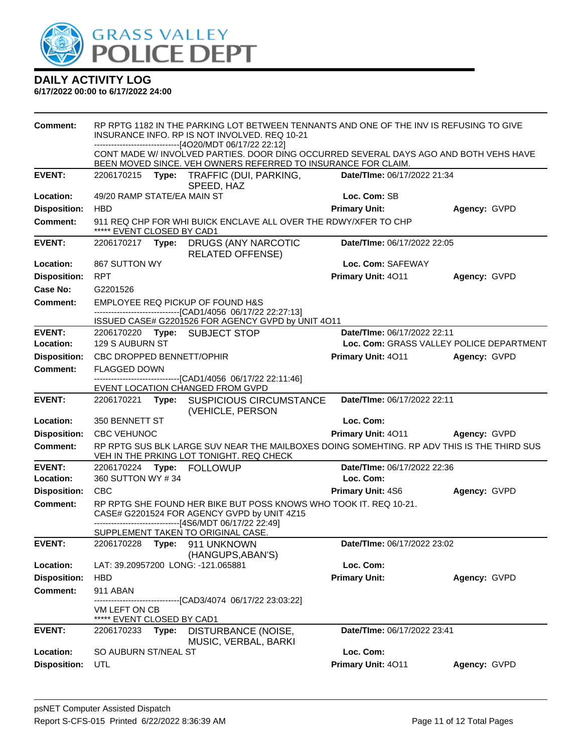

| <b>Comment:</b>     | RP RPTG 1182 IN THE PARKING LOT BETWEEN TENNANTS AND ONE OF THE INV IS REFUSING TO GIVE<br>INSURANCE INFO. RP IS NOT INVOLVED. REQ 10-21<br>------------------------[4O20/MDT 06/17/22 22:12] |       |                                                                                                                                                                        |                                          |                     |
|---------------------|-----------------------------------------------------------------------------------------------------------------------------------------------------------------------------------------------|-------|------------------------------------------------------------------------------------------------------------------------------------------------------------------------|------------------------------------------|---------------------|
|                     |                                                                                                                                                                                               |       | CONT MADE W/ INVOLVED PARTIES. DOOR DING OCCURRED SEVERAL DAYS AGO AND BOTH VEHS HAVE<br>BEEN MOVED SINCE. VEH OWNERS REFERRED TO INSURANCE FOR CLAIM.                 |                                          |                     |
| <b>EVENT:</b>       |                                                                                                                                                                                               |       | 2206170215 Type: TRAFFIC (DUI, PARKING,<br>SPEED, HAZ                                                                                                                  | Date/TIme: 06/17/2022 21:34              |                     |
| Location:           | 49/20 RAMP STATE/EA MAIN ST                                                                                                                                                                   |       |                                                                                                                                                                        | Loc. Com: SB                             |                     |
| <b>Disposition:</b> | <b>HBD</b>                                                                                                                                                                                    |       |                                                                                                                                                                        | <b>Primary Unit:</b>                     | Agency: GVPD        |
| <b>Comment:</b>     | ***** EVENT CLOSED BY CAD1                                                                                                                                                                    |       | 911 REQ CHP FOR WHI BUICK ENCLAVE ALL OVER THE RDWY/XFER TO CHP                                                                                                        |                                          |                     |
| <b>EVENT:</b>       |                                                                                                                                                                                               |       | 2206170217 Type: DRUGS (ANY NARCOTIC<br><b>RELATED OFFENSE)</b>                                                                                                        | Date/TIme: 06/17/2022 22:05              |                     |
| Location:           | 867 SUTTON WY                                                                                                                                                                                 |       |                                                                                                                                                                        | Loc. Com: SAFEWAY                        |                     |
| <b>Disposition:</b> | <b>RPT</b>                                                                                                                                                                                    |       |                                                                                                                                                                        | Primary Unit: 4011                       | Agency: GVPD        |
| Case No:            | G2201526                                                                                                                                                                                      |       |                                                                                                                                                                        |                                          |                     |
| <b>Comment:</b>     |                                                                                                                                                                                               |       | EMPLOYEE REQ PICKUP OF FOUND H&S<br>-------------------------------[CAD1/4056 06/17/22 22:27:13]<br>ISSUED CASE# G2201526 FOR AGENCY GVPD by UNIT 4O11                 |                                          |                     |
| <b>EVENT:</b>       |                                                                                                                                                                                               |       | 2206170220 Type: SUBJECT STOP                                                                                                                                          | Date/TIme: 06/17/2022 22:11              |                     |
| Location:           | 129 S AUBURN ST                                                                                                                                                                               |       |                                                                                                                                                                        | Loc. Com: GRASS VALLEY POLICE DEPARTMENT |                     |
| <b>Disposition:</b> | <b>CBC DROPPED BENNETT/OPHIR</b>                                                                                                                                                              |       |                                                                                                                                                                        | <b>Primary Unit: 4011</b>                | Agency: GVPD        |
| <b>Comment:</b>     | <b>FLAGGED DOWN</b>                                                                                                                                                                           |       | --------------------------------[CAD1/4056_06/17/22 22:11:46]                                                                                                          |                                          |                     |
|                     |                                                                                                                                                                                               |       | EVENT LOCATION CHANGED FROM GVPD                                                                                                                                       |                                          |                     |
| <b>EVENT:</b>       | 2206170221                                                                                                                                                                                    |       | Type: SUSPICIOUS CIRCUMSTANCE<br>(VEHICLE, PERSON                                                                                                                      | Date/TIme: 06/17/2022 22:11              |                     |
| Location:           | 350 BENNETT ST                                                                                                                                                                                |       |                                                                                                                                                                        | Loc. Com:                                |                     |
| <b>Disposition:</b> | <b>CBC VEHUNOC</b>                                                                                                                                                                            |       |                                                                                                                                                                        | Primary Unit: 4011                       | <b>Agency: GVPD</b> |
| <b>Comment:</b>     |                                                                                                                                                                                               |       | RP RPTG SUS BLK LARGE SUV NEAR THE MAILBOXES DOING SOMEHTING. RP ADV THIS IS THE THIRD SUS<br>VEH IN THE PRKING LOT TONIGHT. REQ CHECK                                 |                                          |                     |
| <b>EVENT:</b>       | 2206170224                                                                                                                                                                                    | Type: | <b>FOLLOWUP</b>                                                                                                                                                        | Date/TIme: 06/17/2022 22:36              |                     |
| Location:           | 360 SUTTON WY #34                                                                                                                                                                             |       |                                                                                                                                                                        | Loc. Com:                                |                     |
| <b>Disposition:</b> | <b>CBC</b>                                                                                                                                                                                    |       |                                                                                                                                                                        | <b>Primary Unit: 4S6</b>                 | Agency: GVPD        |
| <b>Comment:</b>     |                                                                                                                                                                                               |       | RP RPTG SHE FOUND HER BIKE BUT POSS KNOWS WHO TOOK IT. REQ 10-21.<br>CASE# G2201524 FOR AGENCY GVPD by UNIT 4Z15<br>--------------------------[4S6/MDT 06/17/22 22:49] |                                          |                     |
|                     |                                                                                                                                                                                               |       | SUPPLEMENT TAKEN TO ORIGINAL CASE.                                                                                                                                     |                                          |                     |
| <b>EVENT:</b>       |                                                                                                                                                                                               |       | 2206170228 Type: 911 UNKNOWN<br>(HANGUPS, ABAN'S)                                                                                                                      | Date/TIme: 06/17/2022 23:02              |                     |
| Location:           |                                                                                                                                                                                               |       | LAT: 39.20957200 LONG: -121.065881                                                                                                                                     | Loc. Com:                                |                     |
| <b>Disposition:</b> | <b>HBD</b>                                                                                                                                                                                    |       |                                                                                                                                                                        | <b>Primary Unit:</b>                     | Agency: GVPD        |
| Comment:            | 911 ABAN                                                                                                                                                                                      |       | ------------------------[CAD3/4074_06/17/22 23:03:22]                                                                                                                  |                                          |                     |
|                     | VM LEFT ON CB                                                                                                                                                                                 |       |                                                                                                                                                                        |                                          |                     |
|                     | ***** EVENT CLOSED BY CAD1                                                                                                                                                                    |       |                                                                                                                                                                        |                                          |                     |
| <b>EVENT:</b>       | 2206170233                                                                                                                                                                                    | Type: | DISTURBANCE (NOISE,<br>MUSIC, VERBAL, BARKI                                                                                                                            | Date/TIme: 06/17/2022 23:41              |                     |
| Location:           | SO AUBURN ST/NEAL ST                                                                                                                                                                          |       |                                                                                                                                                                        | Loc. Com:                                |                     |
| <b>Disposition:</b> | UTL                                                                                                                                                                                           |       |                                                                                                                                                                        | Primary Unit: 4011                       | Agency: GVPD        |